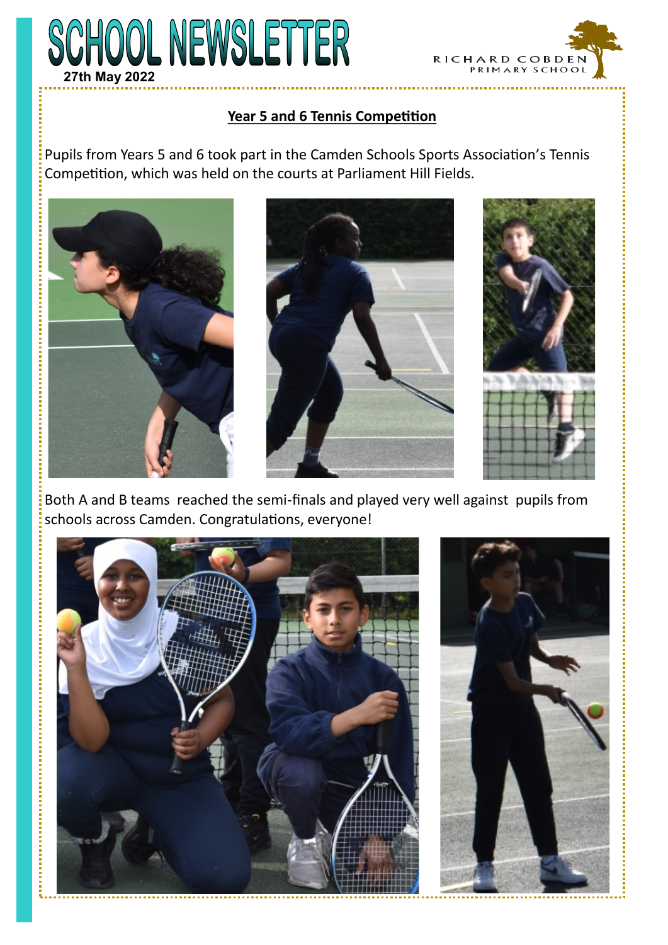



## **Year 5 and 6 Tennis Competition**

Pupils from Years 5 and 6 took part in the Camden Schools Sports Association's Tennis Competition, which was held on the courts at Parliament Hill Fields.







Both A and B teams reached the semi-finals and played very well against pupils from schools across Camden. Congratulations, everyone!